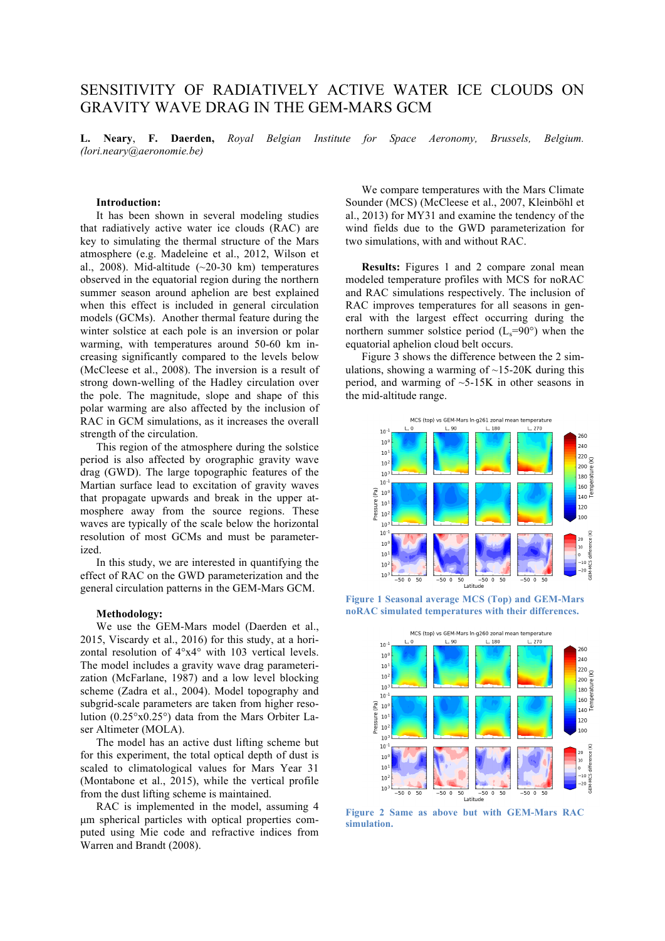# SENSITIVITY OF RADIATIVELY ACTIVE WATER ICE CLOUDS ON GRAVITY WAVE DRAG IN THE GEM-MARS GCM

**L. Neary**, **F. Daerden,** *Royal Belgian Institute for Space Aeronomy, Brussels, Belgium. (lori.neary@aeronomie.be)*

## **Introduction:**

It has been shown in several modeling studies that radiatively active water ice clouds (RAC) are key to simulating the thermal structure of the Mars atmosphere (e.g. Madeleine et al., 2012, Wilson et al., 2008). Mid-altitude  $(\sim 20-30 \text{ km})$  temperatures observed in the equatorial region during the northern summer season around aphelion are best explained when this effect is included in general circulation models (GCMs). Another thermal feature during the winter solstice at each pole is an inversion or polar warming, with temperatures around 50-60 km increasing significantly compared to the levels below (McCleese et al., 2008). The inversion is a result of strong down-welling of the Hadley circulation over the pole. The magnitude, slope and shape of this polar warming are also affected by the inclusion of RAC in GCM simulations, as it increases the overall strength of the circulation.

This region of the atmosphere during the solstice period is also affected by orographic gravity wave drag (GWD). The large topographic features of the Martian surface lead to excitation of gravity waves that propagate upwards and break in the upper atmosphere away from the source regions. These waves are typically of the scale below the horizontal resolution of most GCMs and must be parameterized.

In this study, we are interested in quantifying the effect of RAC on the GWD parameterization and the general circulation patterns in the GEM-Mars GCM.

#### **Methodology:**

We use the GEM-Mars model (Daerden et al., 2015, Viscardy et al., 2016) for this study, at a horizontal resolution of 4°x4° with 103 vertical levels. The model includes a gravity wave drag parameterization (McFarlane, 1987) and a low level blocking scheme (Zadra et al., 2004). Model topography and subgrid-scale parameters are taken from higher resolution (0.25°x0.25°) data from the Mars Orbiter Laser Altimeter (MOLA).

The model has an active dust lifting scheme but for this experiment, the total optical depth of dust is scaled to climatological values for Mars Year 31 (Montabone et al., 2015), while the vertical profile from the dust lifting scheme is maintained.

RAC is implemented in the model, assuming 4 µm spherical particles with optical properties computed using Mie code and refractive indices from Warren and Brandt (2008).

We compare temperatures with the Mars Climate Sounder (MCS) (McCleese et al., 2007, Kleinböhl et al., 2013) for MY31 and examine the tendency of the wind fields due to the GWD parameterization for two simulations, with and without RAC.

**Results:** Figures 1 and 2 compare zonal mean modeled temperature profiles with MCS for noRAC and RAC simulations respectively. The inclusion of RAC improves temperatures for all seasons in general with the largest effect occurring during the northern summer solstice period  $(L_s=90^\circ)$  when the equatorial aphelion cloud belt occurs.

Figure 3 shows the difference between the 2 simulations, showing a warming of  $\sim$ 15-20K during this period, and warming of  $\sim$ 5-15K in other seasons in the mid-altitude range.



**Figure 1 Seasonal average MCS (Top) and GEM-Mars noRAC simulated temperatures with their differences.**



**Figure 2 Same as above but with GEM-Mars RAC simulation.**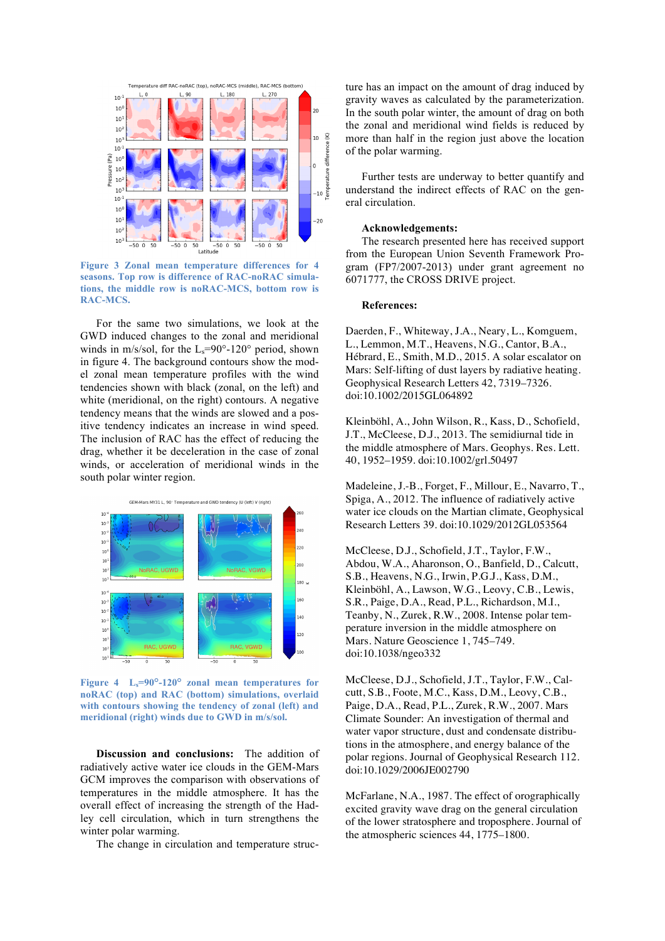

**Figure 3 Zonal mean temperature differences for 4 seasons. Top row is difference of RAC-noRAC simulations, the middle row is noRAC-MCS, bottom row is RAC-MCS.**

For the same two simulations, we look at the GWD induced changes to the zonal and meridional winds in m/s/sol, for the  $L_s=90^\circ-120^\circ$  period, shown in figure 4. The background contours show the model zonal mean temperature profiles with the wind tendencies shown with black (zonal, on the left) and white (meridional, on the right) contours. A negative tendency means that the winds are slowed and a positive tendency indicates an increase in wind speed. The inclusion of RAC has the effect of reducing the drag, whether it be deceleration in the case of zonal winds, or acceleration of meridional winds in the south polar winter region.



**Figure 4 Ls=90°-120° zonal mean temperatures for noRAC (top) and RAC (bottom) simulations, overlaid with contours showing the tendency of zonal (left) and meridional (right) winds due to GWD in m/s/sol.**

**Discussion and conclusions:** The addition of radiatively active water ice clouds in the GEM-Mars GCM improves the comparison with observations of temperatures in the middle atmosphere. It has the overall effect of increasing the strength of the Hadley cell circulation, which in turn strengthens the winter polar warming.

The change in circulation and temperature struc-

ture has an impact on the amount of drag induced by gravity waves as calculated by the parameterization. In the south polar winter, the amount of drag on both the zonal and meridional wind fields is reduced by more than half in the region just above the location of the polar warming.

Further tests are underway to better quantify and understand the indirect effects of RAC on the general circulation.

## **Acknowledgements:**

The research presented here has received support from the European Union Seventh Framework Program (FP7/2007-2013) under grant agreement no 6071777, the CROSS DRIVE project.

#### **References:**

Daerden, F., Whiteway, J.A., Neary, L., Komguem, L., Lemmon, M.T., Heavens, N.G., Cantor, B.A., Hébrard, E., Smith, M.D., 2015. A solar escalator on Mars: Self-lifting of dust layers by radiative heating. Geophysical Research Letters 42, 7319–7326. doi:10.1002/2015GL064892

Kleinböhl, A., John Wilson, R., Kass, D., Schofield, J.T., McCleese, D.J., 2013. The semidiurnal tide in the middle atmosphere of Mars. Geophys. Res. Lett. 40, 1952–1959. doi:10.1002/grl.50497

Madeleine, J.-B., Forget, F., Millour, E., Navarro, T., Spiga, A., 2012. The influence of radiatively active water ice clouds on the Martian climate, Geophysical Research Letters 39. doi:10.1029/2012GL053564

McCleese, D.J., Schofield, J.T., Taylor, F.W., Abdou, W.A., Aharonson, O., Banfield, D., Calcutt, S.B., Heavens, N.G., Irwin, P.G.J., Kass, D.M., Kleinböhl, A., Lawson, W.G., Leovy, C.B., Lewis, S.R., Paige, D.A., Read, P.L., Richardson, M.I., Teanby, N., Zurek, R.W., 2008. Intense polar temperature inversion in the middle atmosphere on Mars. Nature Geoscience 1, 745–749. doi:10.1038/ngeo332

McCleese, D.J., Schofield, J.T., Taylor, F.W., Calcutt, S.B., Foote, M.C., Kass, D.M., Leovy, C.B., Paige, D.A., Read, P.L., Zurek, R.W., 2007. Mars Climate Sounder: An investigation of thermal and water vapor structure, dust and condensate distributions in the atmosphere, and energy balance of the polar regions. Journal of Geophysical Research 112. doi:10.1029/2006JE002790

McFarlane, N.A., 1987. The effect of orographically excited gravity wave drag on the general circulation of the lower stratosphere and troposphere. Journal of the atmospheric sciences 44, 1775–1800.